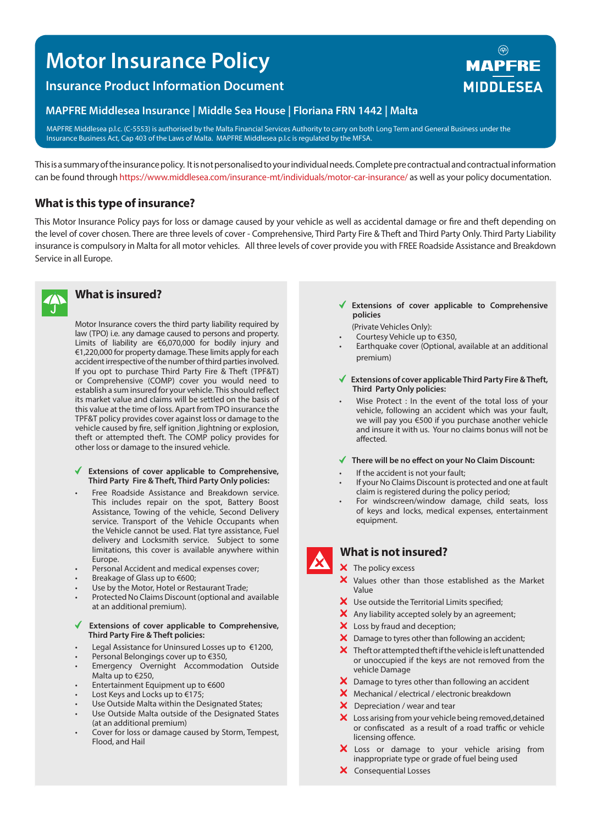# **Motor Insurance Policy**

# **Insurance Product Information Document**

### **MAPFRE Middlesea Insurance | Middle Sea House | Floriana FRN 1442 | Malta**

MAPFRE Middlesea p.l.c. (C-5553) is authorised by the Malta Financial Services Authority to carry on both Long Term and General Business under the Insurance Business Act, Cap 403 of the Laws of Malta. MAPFRE Middlesea p.l.c is regulated by the MFSA.

This is a summary of the insurance policy. It is not personalised to your individual needs. Complete pre contractual and contractual information can be found through https://www.middlesea.com/insurance-mt/individuals/motor-car-insurance/ as well as your policy documentation.

## **What is this type of insurance?**

This Motor Insurance Policy pays for loss or damage caused by your vehicle as well as accidental damage or fire and theft depending on the level of cover chosen. There are three levels of cover - Comprehensive, Third Party Fire & Theft and Third Party Only. Third Party Liability insurance is compulsory in Malta for all motor vehicles. All three levels of cover provide you with FREE Roadside Assistance and Breakdown Service in all Europe.



### **What is insured?**

Motor Insurance covers the third party liability required by law (TPO) i.e. any damage caused to persons and property. Limits of liability are €6,070,000 for bodily injury and €1,220,000 for property damage. These limits apply for each accident irrespective of the number of third parties involved. If you opt to purchase Third Party Fire & Theft (TPF&T) or Comprehensive (COMP) cover you would need to establish a sum insured for your vehicle. This should reflect its market value and claims will be settled on the basis of this value at the time of loss. Apart from TPO insurance the TPF&T policy provides cover against loss or damage to the vehicle caused by fire, self ignition ,lightning or explosion, theft or attempted theft. The COMP policy provides for other loss or damage to the insured vehicle.

### **Extensions of cover applicable to Comprehensive, Third Party Fire & Theft, Third Party Only policies:**

- Free Roadside Assistance and Breakdown service. This includes repair on the spot, Battery Boost Assistance, Towing of the vehicle, Second Delivery service. Transport of the Vehicle Occupants when the Vehicle cannot be used. Flat tyre assistance, Fuel delivery and Locksmith service. Subject to some limitations, this cover is available anywhere within Europe.
- Personal Accident and medical expenses cover;
- Breakage of Glass up to €600;
- Use by the Motor, Hotel or Restaurant Trade;
- Protected No Claims Discount (optional and available at an additional premium).

### **Extensions of cover applicable to Comprehensive, Third Party Fire & Theft policies:**

- Legal Assistance for Uninsured Losses up to €1200,
- Personal Belongings cover up to €350,
- Emergency Overnight Accommodation Outside Malta up to €250,
- Entertainment Equipment up to €600
- Lost Keys and Locks up to €175;
- Use Outside Malta within the Designated States;
- Use Outside Malta outside of the Designated States (at an additional premium)
- Cover for loss or damage caused by Storm, Tempest, Flood, and Hail
- **Extensions of cover applicable to Comprehensive policies**
- (Private Vehicles Only):
- Courtesy Vehicle up to €350,
- Earthquake cover (Optional, available at an additional premium)
- **Extensions of cover applicable Third Party Fire & Theft, Third Party Only policies:**
- Wise Protect : In the event of the total loss of your vehicle, following an accident which was your fault, we will pay you €500 if you purchase another vehicle and insure it with us. Your no claims bonus will not be affected.

#### **There will be no effect on your No Claim Discount:**

- If the accident is not your fault;
- If your No Claims Discount is protected and one at fault claim is registered during the policy period;
- For windscreen/window damage, child seats, loss of keys and locks, medical expenses, entertainment equipment.

# **What is not insured?**

- $\mathsf{\times}$  The policy excess
- X Values other than those established as the Market Value
- X Use outside the Territorial Limits specified;
- X Any liability accepted solely by an agreement;
- X Loss by fraud and deception;
- X Damage to tyres other than following an accident;
- $\bm{X}$  Theft or attempted theft if the vehicle is left unattended or unoccupied if the keys are not removed from the vehicle Damage
- X Damage to tyres other than following an accident
- Mechanical / electrical / electronic breakdown
- X Depreciation / wear and tear
- X Loss arising from your vehicle being removed, detained or confiscated as a result of a road traffic or vehicle licensing offence.
- X Loss or damage to your vehicle arising from inappropriate type or grade of fuel being used
- X Consequential Losses